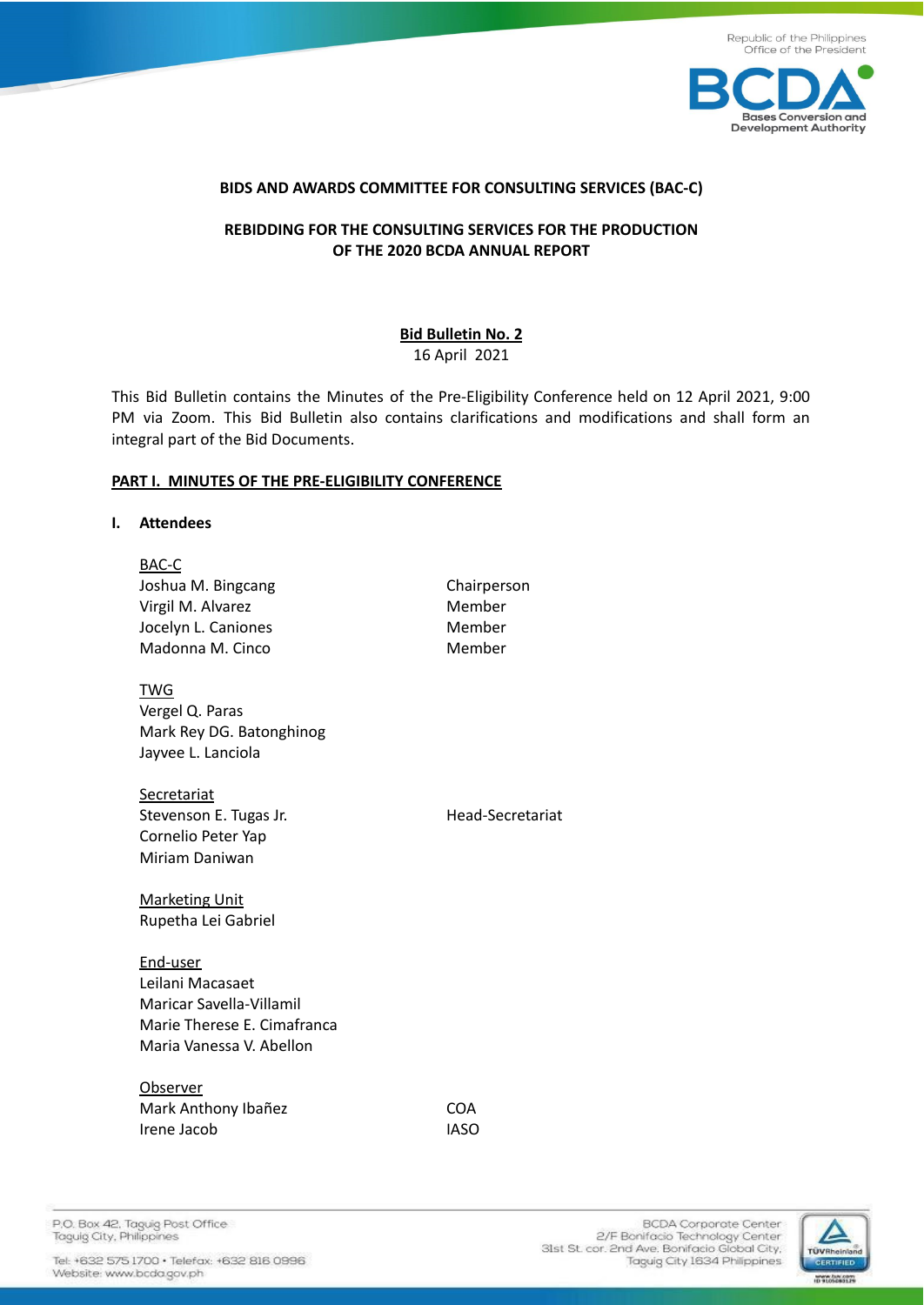



## **BIDS AND AWARDS COMMITTEE FOR CONSULTING SERVICES (BAC-C)**

# **REBIDDING FOR THE CONSULTING SERVICES FOR THE PRODUCTION OF THE 2020 BCDA ANNUAL REPORT**

### **Bid Bulletin No. 2** 16 April 2021

This Bid Bulletin contains the Minutes of the Pre-Eligibility Conference held on 12 April 2021, 9:00 PM via Zoom. This Bid Bulletin also contains clarifications and modifications and shall form an integral part of the Bid Documents.

### **PART I. MINUTES OF THE PRE-ELIGIBILITY CONFERENCE**

#### **I. Attendees**

| BAC-C                               |                  |
|-------------------------------------|------------------|
| Joshua M. Bingcang                  | Chairperson      |
| Virgil M. Alvarez                   | Member           |
| Jocelyn L. Caniones                 | Member           |
| Madonna M. Cinco                    | Member           |
| <u>TWG</u>                          |                  |
| Vergel Q. Paras                     |                  |
| Mark Rey DG. Batonghinog            |                  |
| Jayvee L. Lanciola                  |                  |
|                                     |                  |
| <u>Secretariat</u>                  |                  |
| Stevenson E. Tugas Jr.              | Head-Secretariat |
| Cornelio Peter Yap                  |                  |
| Miriam Daniwan                      |                  |
| <b>Marketing Unit</b>               |                  |
| Rupetha Lei Gabriel                 |                  |
|                                     |                  |
| <u>End-user</u><br>Leilani Macasaet |                  |
|                                     |                  |
| Maricar Savella-Villamil            |                  |
| Marie Therese E. Cimafranca         |                  |
| Maria Vanessa V. Abellon            |                  |
| Observer                            |                  |
| Mark Anthony Ibañez                 | <b>COA</b>       |
| Irene Jacob                         | <b>IASO</b>      |
|                                     |                  |

P.O. Box 42, Taguig Post Office Taguig City, Philippines

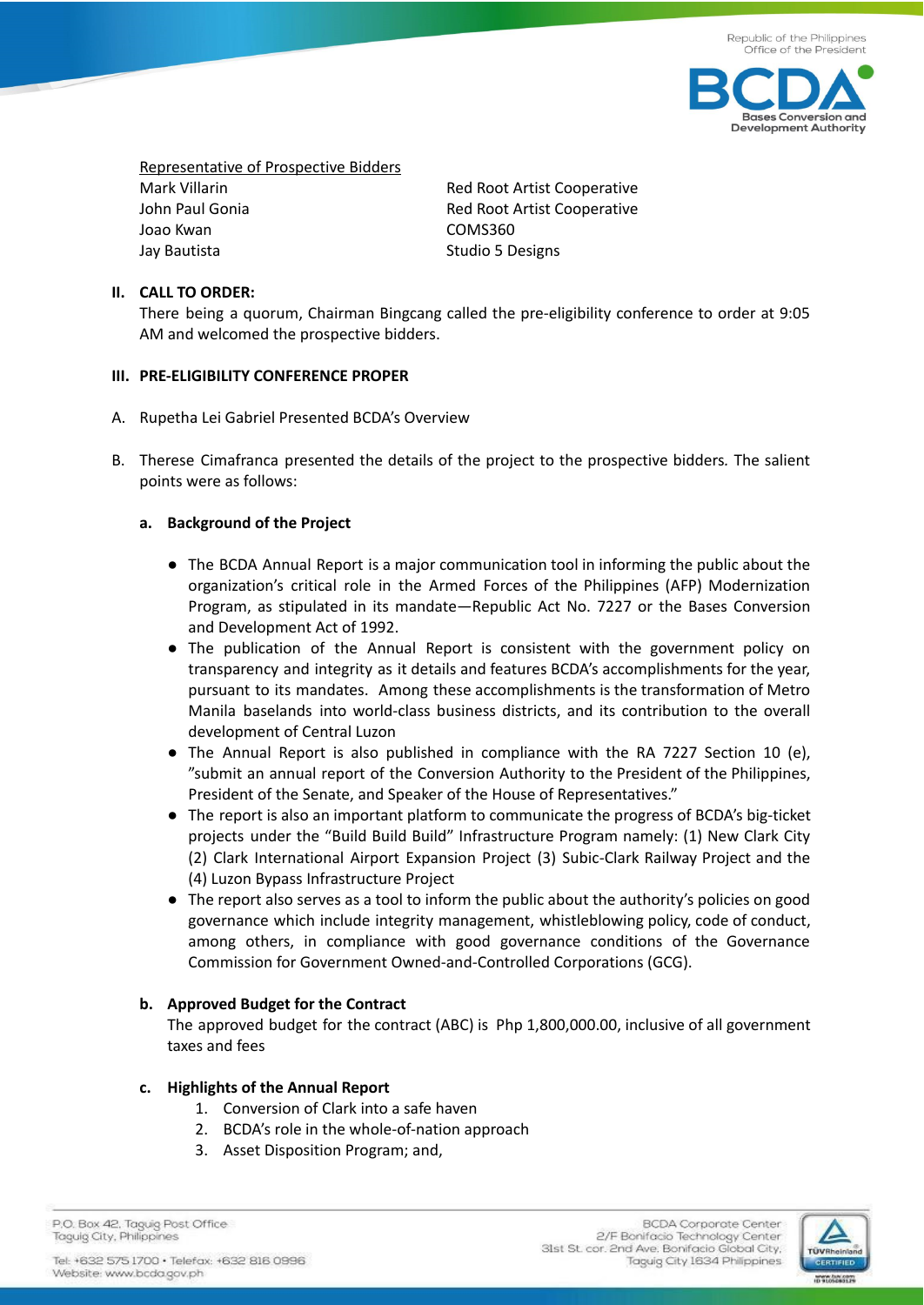

Representative of Prospective Bidders Mark Villarin **Mark Villarin** Mark Villarin Red Root Artist Cooperative John Paul Gonia **Red Root Artist Cooperative** Joao Kwan COMS360 Jay Bautista **Studio 5 Designs** Studio 5 Designs

## **II. CALL TO ORDER:**

There being a quorum, Chairman Bingcang called the pre-eligibility conference to order at 9:05 AM and welcomed the prospective bidders.

### **III. PRE-ELIGIBILITY CONFERENCE PROPER**

- A. Rupetha Lei Gabriel Presented BCDA's Overview
- B. Therese Cimafranca presented the details of the project to the prospective bidders*.* The salient points were as follows:

## **a. Background of the Project**

- The BCDA Annual Report is a major communication tool in informing the public about the organization's critical role in the Armed Forces of the Philippines (AFP) Modernization Program, as stipulated in its mandate—Republic Act No. 7227 or the Bases Conversion and Development Act of 1992.
- The publication of the Annual Report is consistent with the government policy on transparency and integrity as it details and features BCDA's accomplishments for the year, pursuant to its mandates. Among these accomplishments is the transformation of Metro Manila baselands into world-class business districts, and its contribution to the overall development of Central Luzon
- The Annual Report is also published in compliance with the RA 7227 Section 10 (e), "submit an annual report of the Conversion Authority to the President of the Philippines, President of the Senate, and Speaker of the House of Representatives."
- The report is also an important platform to communicate the progress of BCDA's big-ticket projects under the "Build Build Build" Infrastructure Program namely: (1) New Clark City (2) Clark International Airport Expansion Project (3) Subic-Clark Railway Project and the (4) Luzon Bypass Infrastructure Project
- The report also serves as a tool to inform the public about the authority's policies on good governance which include integrity management, whistleblowing policy, code of conduct, among others, in compliance with good governance conditions of the Governance Commission for Government Owned-and-Controlled Corporations (GCG).

## **b. Approved Budget for the Contract**

The approved budget for the contract (ABC) is Php 1,800,000.00, inclusive of all government taxes and fees

## **c. Highlights of the Annual Report**

- 1. Conversion of Clark into a safe haven
- 2. BCDA's role in the whole-of-nation approach
- 3. Asset Disposition Program; and,

P.O. Box 42. Taguig Post Office Taguig City, Philippines

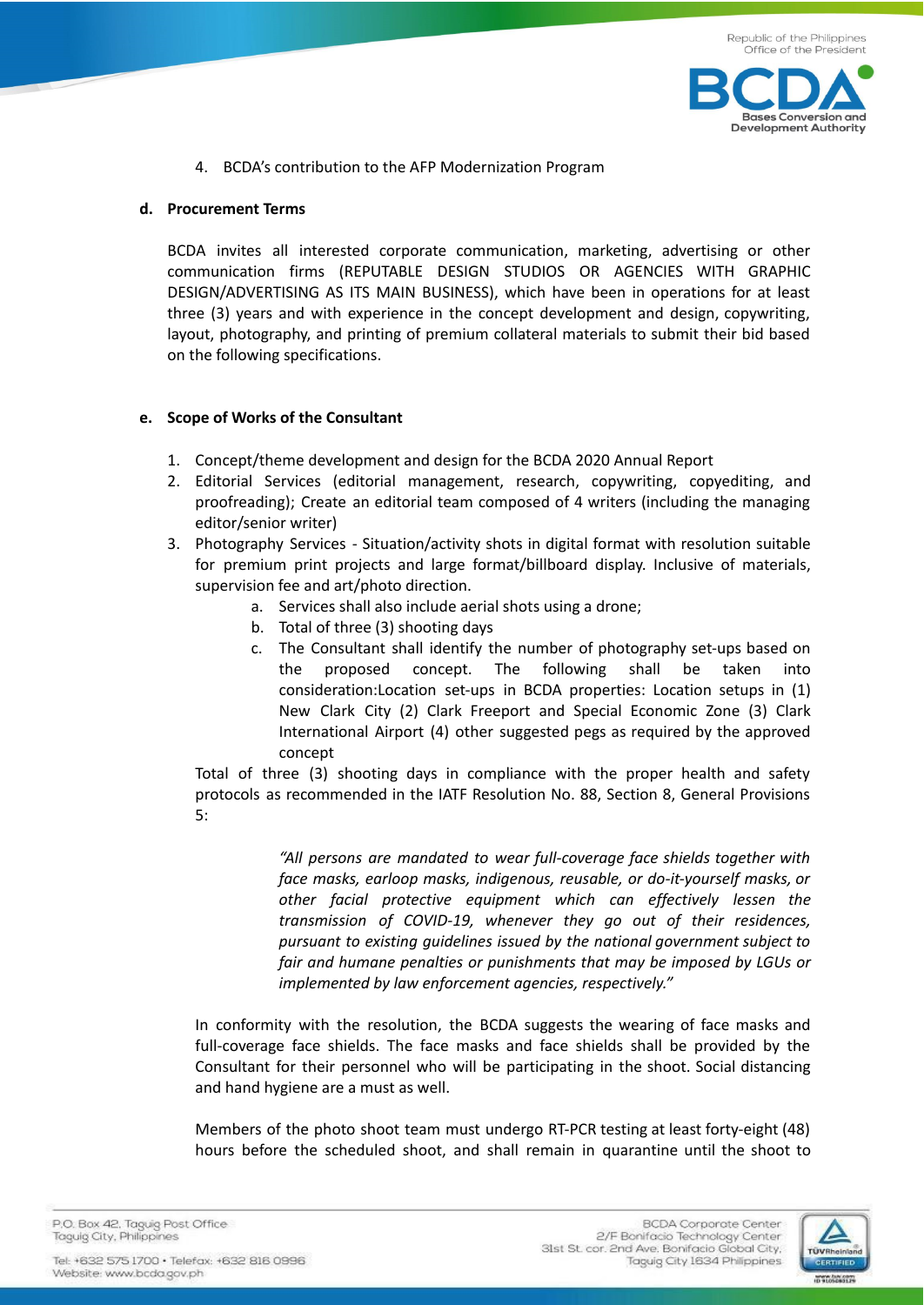

4. BCDA's contribution to the AFP Modernization Program

### **d. Procurement Terms**

BCDA invites all interested corporate communication, marketing, advertising or other communication firms (REPUTABLE DESIGN STUDIOS OR AGENCIES WITH GRAPHIC DESIGN/ADVERTISING AS ITS MAIN BUSINESS), which have been in operations for at least three (3) years and with experience in the concept development and design, copywriting, layout, photography, and printing of premium collateral materials to submit their bid based on the following specifications.

### **e. Scope of Works of the Consultant**

- 1. Concept/theme development and design for the BCDA 2020 Annual Report
- 2. Editorial Services (editorial management, research, copywriting, copyediting, and proofreading); Create an editorial team composed of 4 writers (including the managing editor/senior writer)
- 3. Photography Services Situation/activity shots in digital format with resolution suitable for premium print projects and large format/billboard display. Inclusive of materials, supervision fee and art/photo direction.
	- a. Services shall also include aerial shots using a drone;
	- b. Total of three (3) shooting days
	- c. The Consultant shall identify the number of photography set-ups based on the proposed concept. The following shall be taken into consideration:Location set-ups in BCDA properties: Location setups in (1) New Clark City (2) Clark Freeport and Special Economic Zone (3) Clark International Airport (4) other suggested pegs as required by the approved concept

Total of three (3) shooting days in compliance with the proper health and safety protocols as recommended in the IATF Resolution No. 88, Section 8, General Provisions 5:

> *"All persons are mandated to wear full-coverage face shields together with face masks, earloop masks, indigenous, reusable, or do-it-yourself masks, or other facial protective equipment which can effectively lessen the transmission of COVID-19, whenever they go out of their residences, pursuant to existing guidelines issued by the national government subject to fair and humane penalties or punishments that may be imposed by LGUs or implemented by law enforcement agencies, respectively."*

In conformity with the resolution, the BCDA suggests the wearing of face masks and full-coverage face shields. The face masks and face shields shall be provided by the Consultant for their personnel who will be participating in the shoot. Social distancing and hand hygiene are a must as well.

Members of the photo shoot team must undergo RT-PCR testing at least forty-eight (48) hours before the scheduled shoot, and shall remain in quarantine until the shoot to

P.O. Box 42. Taguig Post Office Taguig City, Philippines

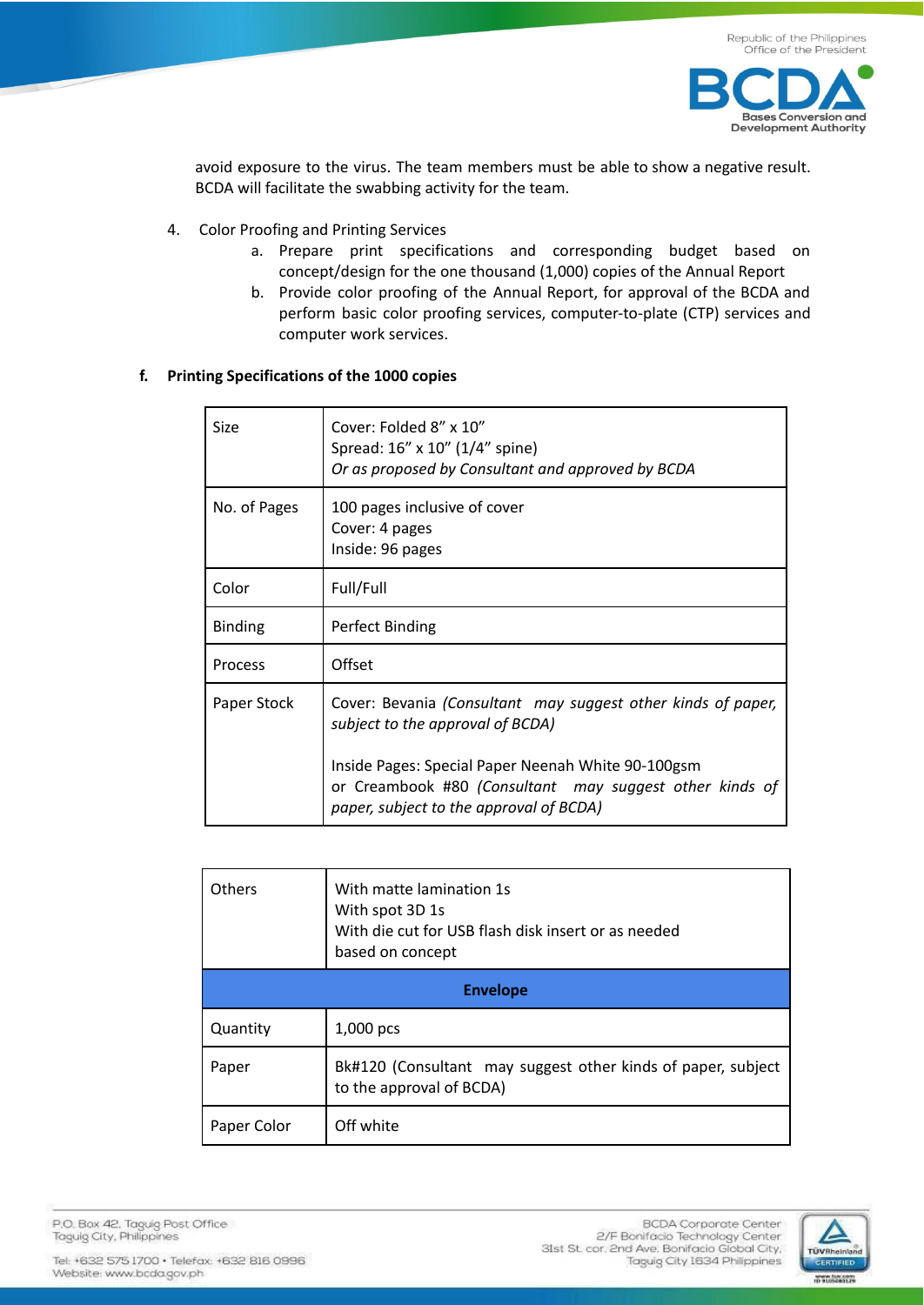

avoid exposure to the virus. The team members must be able to show a negative result. BCDA will facilitate the swabbing activity for the team.

- 4. Color Proofing and Printing Services
	- a. Prepare print specifications and corresponding budget based on concept/design for the one thousand (1,000) copies of the Annual Report
	- b. Provide color proofing of the Annual Report, for approval of the BCDA and perform basic color proofing services, computer-to-plate (CTP) services and computer work services.

## **f. Printing Specifications of the 1000 copies**

| Size           | Cover: Folded 8" x 10"<br>Spread: 16" x 10" (1/4" spine)<br>Or as proposed by Consultant and approved by BCDA                                                                                                                                                |
|----------------|--------------------------------------------------------------------------------------------------------------------------------------------------------------------------------------------------------------------------------------------------------------|
| No. of Pages   | 100 pages inclusive of cover<br>Cover: 4 pages<br>Inside: 96 pages                                                                                                                                                                                           |
| Color          | Full/Full                                                                                                                                                                                                                                                    |
| <b>Binding</b> | Perfect Binding                                                                                                                                                                                                                                              |
| Process        | Offset                                                                                                                                                                                                                                                       |
| Paper Stock    | Cover: Bevania (Consultant may suggest other kinds of paper,<br>subject to the approval of BCDA)<br>Inside Pages: Special Paper Neenah White 90-100gsm<br>or Creambook #80 (Consultant may suggest other kinds of<br>paper, subject to the approval of BCDA) |

| With matte lamination 1s<br><b>Others</b><br>With spot 3D 1s<br>With die cut for USB flash disk insert or as needed<br>based on concept |                                                                                          |  |  |
|-----------------------------------------------------------------------------------------------------------------------------------------|------------------------------------------------------------------------------------------|--|--|
| <b>Envelope</b>                                                                                                                         |                                                                                          |  |  |
| Quantity                                                                                                                                | $1,000$ pcs                                                                              |  |  |
| Paper                                                                                                                                   | Bk#120 (Consultant may suggest other kinds of paper, subject<br>to the approval of BCDA) |  |  |
| Paper Color                                                                                                                             | Off white                                                                                |  |  |

P.O. Box 42, Taguig Post Office Taguig City, Philippines

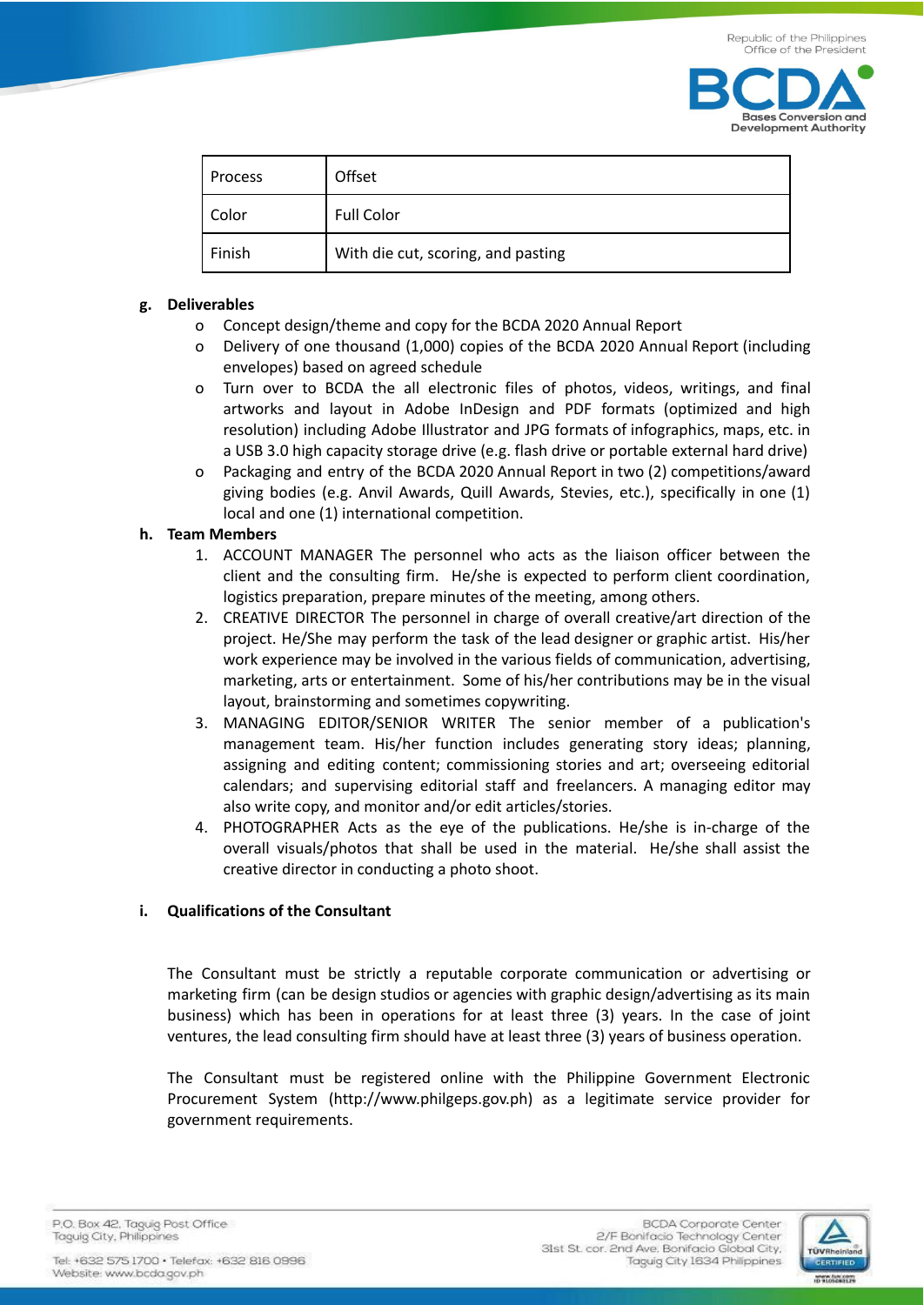

| Process | Offset                             |
|---------|------------------------------------|
| Color   | <b>Full Color</b>                  |
| Finish  | With die cut, scoring, and pasting |

# **g. Deliverables**

- o Concept design/theme and copy for the BCDA 2020 Annual Report
- o Delivery of one thousand (1,000) copies of the BCDA 2020 Annual Report (including envelopes) based on agreed schedule
- o Turn over to BCDA the all electronic files of photos, videos, writings, and final artworks and layout in Adobe InDesign and PDF formats (optimized and high resolution) including Adobe Illustrator and JPG formats of infographics, maps, etc. in a USB 3.0 high capacity storage drive (e.g. flash drive or portable external hard drive)
- o Packaging and entry of the BCDA 2020 Annual Report in two (2) competitions/award giving bodies (e.g. Anvil Awards, Quill Awards, Stevies, etc.), specifically in one (1) local and one (1) international competition.

## **h. Team Members**

- 1. ACCOUNT MANAGER The personnel who acts as the liaison officer between the client and the consulting firm. He/she is expected to perform client coordination, logistics preparation, prepare minutes of the meeting, among others.
- 2. CREATIVE DIRECTOR The personnel in charge of overall creative/art direction of the project. He/She may perform the task of the lead designer or graphic artist. His/her work experience may be involved in the various fields of communication, advertising, marketing, arts or entertainment. Some of his/her contributions may be in the visual layout, brainstorming and sometimes copywriting.
- 3. MANAGING EDITOR/SENIOR WRITER The senior member of a publication's management team. His/her function includes generating story ideas; planning, assigning and editing content; commissioning stories and art; overseeing editorial calendars; and supervising editorial staff and freelancers. A managing editor may also write copy, and monitor and/or edit articles/stories.
- 4. PHOTOGRAPHER Acts as the eye of the publications. He/she is in-charge of the overall visuals/photos that shall be used in the material. He/she shall assist the creative director in conducting a photo shoot.

## **i. Qualifications of the Consultant**

The Consultant must be strictly a reputable corporate communication or advertising or marketing firm (can be design studios or agencies with graphic design/advertising as its main business) which has been in operations for at least three (3) years. In the case of joint ventures, the lead consulting firm should have at least three (3) years of business operation.

The Consultant must be registered online with the Philippine Government Electronic Procurement System (http://www.philgeps.gov.ph) as a legitimate service provider for government requirements.

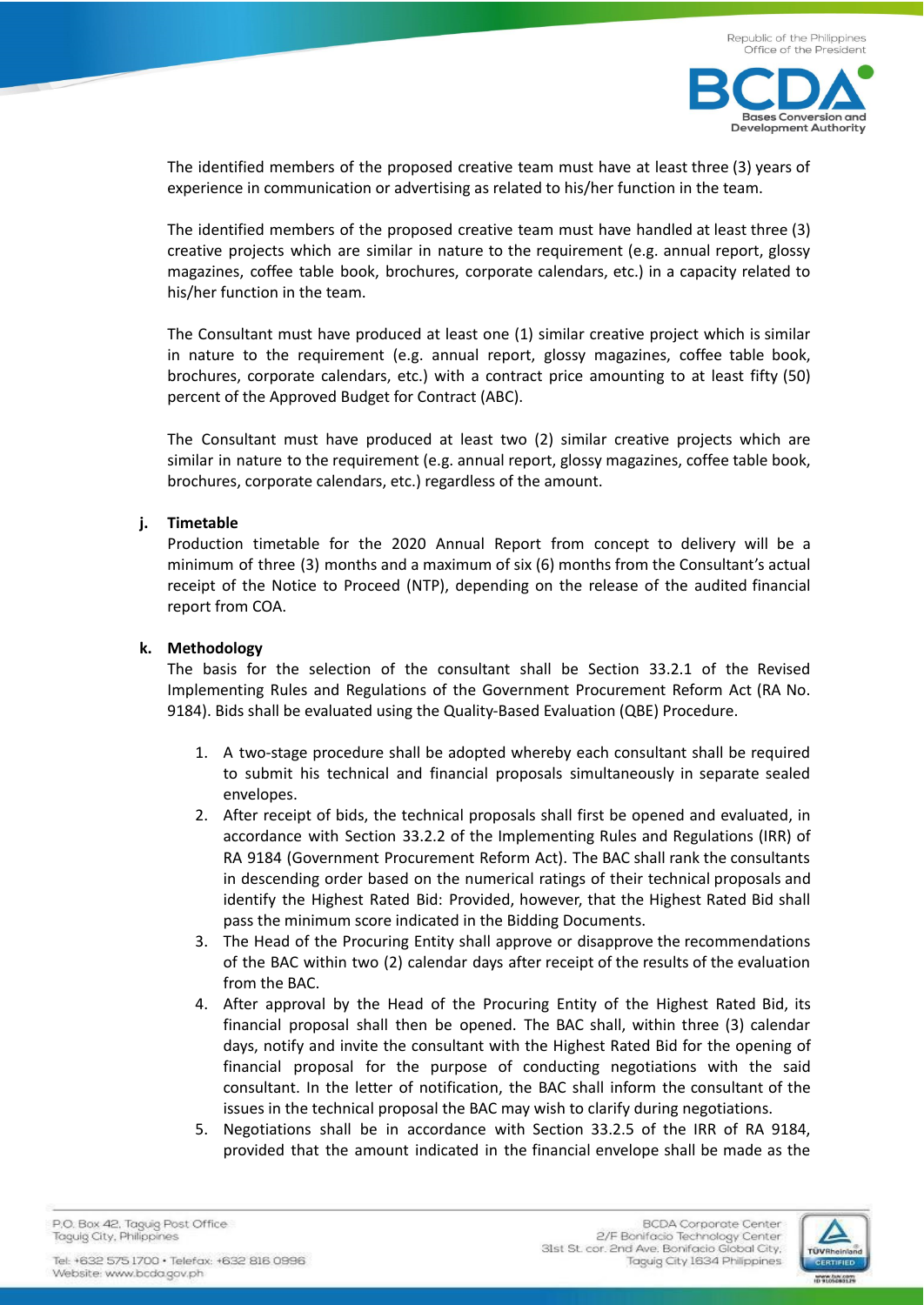

es Conversion and **Development Authority** 

 $Ba$ 

The identified members of the proposed creative team must have at least three (3) years of experience in communication or advertising as related to his/her function in the team.

The identified members of the proposed creative team must have handled at least three (3) creative projects which are similar in nature to the requirement (e.g. annual report, glossy magazines, coffee table book, brochures, corporate calendars, etc.) in a capacity related to his/her function in the team.

The Consultant must have produced at least one (1) similar creative project which is similar in nature to the requirement (e.g. annual report, glossy magazines, coffee table book, brochures, corporate calendars, etc.) with a contract price amounting to at least fifty (50) percent of the Approved Budget for Contract (ABC).

The Consultant must have produced at least two (2) similar creative projects which are similar in nature to the requirement (e.g. annual report, glossy magazines, coffee table book, brochures, corporate calendars, etc.) regardless of the amount.

### **j. Timetable**

Production timetable for the 2020 Annual Report from concept to delivery will be a minimum of three (3) months and a maximum of six (6) months from the Consultant's actual receipt of the Notice to Proceed (NTP), depending on the release of the audited financial report from COA.

### **k. Methodology**

The basis for the selection of the consultant shall be Section 33.2.1 of the Revised Implementing Rules and Regulations of the Government Procurement Reform Act (RA No. 9184). Bids shall be evaluated using the Quality-Based Evaluation (QBE) Procedure.

- 1. A two-stage procedure shall be adopted whereby each consultant shall be required to submit his technical and financial proposals simultaneously in separate sealed envelopes.
- 2. After receipt of bids, the technical proposals shall first be opened and evaluated, in accordance with Section 33.2.2 of the Implementing Rules and Regulations (IRR) of RA 9184 (Government Procurement Reform Act). The BAC shall rank the consultants in descending order based on the numerical ratings of their technical proposals and identify the Highest Rated Bid: Provided, however, that the Highest Rated Bid shall pass the minimum score indicated in the Bidding Documents.
- 3. The Head of the Procuring Entity shall approve or disapprove the recommendations of the BAC within two (2) calendar days after receipt of the results of the evaluation from the BAC.
- 4. After approval by the Head of the Procuring Entity of the Highest Rated Bid, its financial proposal shall then be opened. The BAC shall, within three (3) calendar days, notify and invite the consultant with the Highest Rated Bid for the opening of financial proposal for the purpose of conducting negotiations with the said consultant. In the letter of notification, the BAC shall inform the consultant of the issues in the technical proposal the BAC may wish to clarify during negotiations.
- 5. Negotiations shall be in accordance with Section 33.2.5 of the IRR of RA 9184, provided that the amount indicated in the financial envelope shall be made as the

P.O. Box 42. Taguig Post Office Taguig City, Philippines

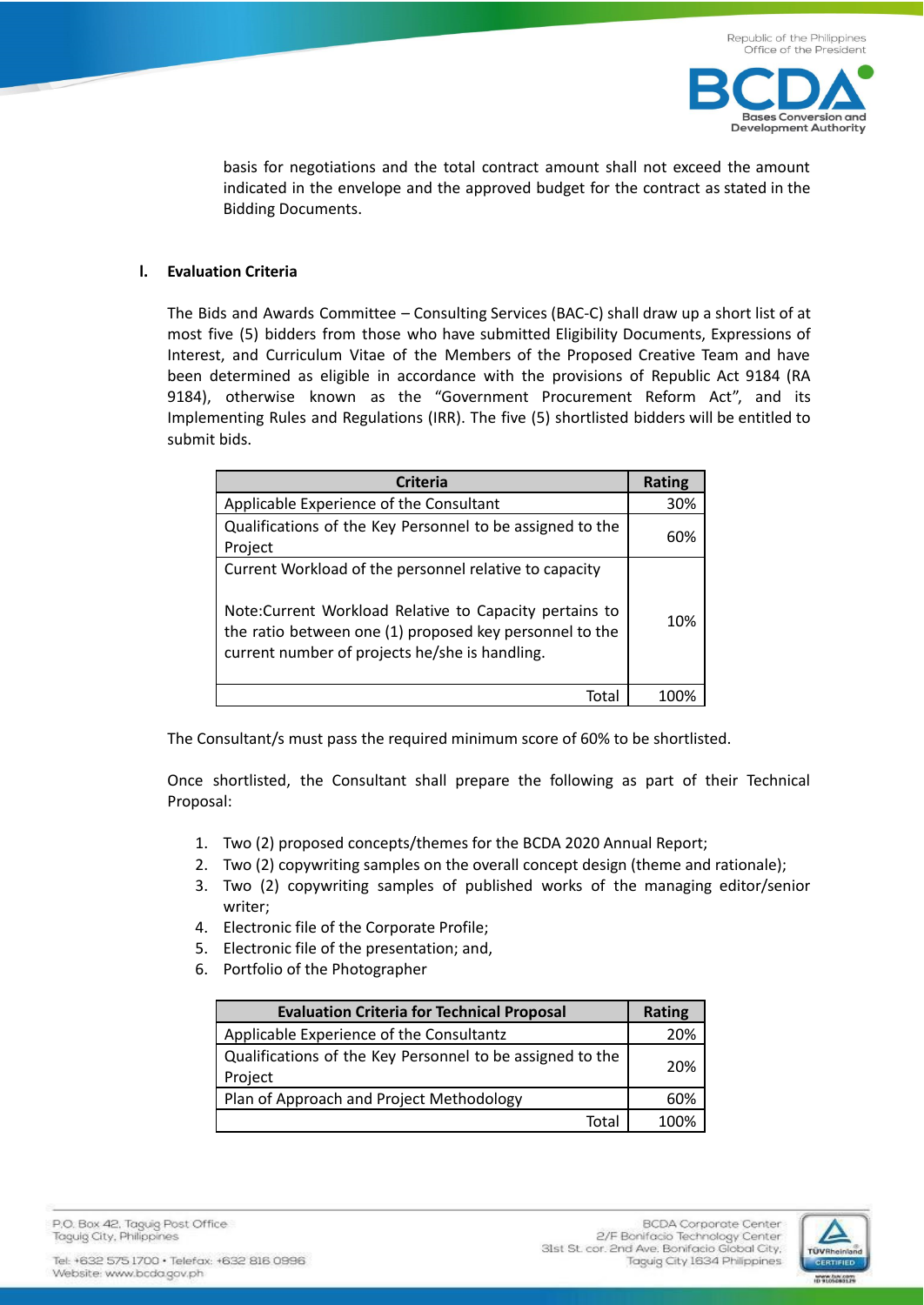

basis for negotiations and the total contract amount shall not exceed the amount indicated in the envelope and the approved budget for the contract as stated in the Bidding Documents.

## **l. Evaluation Criteria**

The Bids and Awards Committee – Consulting Services (BAC-C) shall draw up a short list of at most five (5) bidders from those who have submitted Eligibility Documents, Expressions of Interest, and Curriculum Vitae of the Members of the Proposed Creative Team and have been determined as eligible in accordance with the provisions of Republic Act 9184 (RA 9184), otherwise known as the "Government Procurement Reform Act", and its Implementing Rules and Regulations (IRR). The five (5) shortlisted bidders will be entitled to submit bids.

| <b>Criteria</b>                                                                                                                                                                                                                | <b>Rating</b> |
|--------------------------------------------------------------------------------------------------------------------------------------------------------------------------------------------------------------------------------|---------------|
| Applicable Experience of the Consultant                                                                                                                                                                                        | 30%           |
| Qualifications of the Key Personnel to be assigned to the<br>Project                                                                                                                                                           | 60%           |
| Current Workload of the personnel relative to capacity<br>Note: Current Workload Relative to Capacity pertains to<br>the ratio between one (1) proposed key personnel to the<br>current number of projects he/she is handling. | 10%           |
| Tota                                                                                                                                                                                                                           |               |

The Consultant/s must pass the required minimum score of 60% to be shortlisted.

Once shortlisted, the Consultant shall prepare the following as part of their Technical Proposal:

- 1. Two (2) proposed concepts/themes for the BCDA 2020 Annual Report;
- 2. Two (2) copywriting samples on the overall concept design (theme and rationale);
- 3. Two (2) copywriting samples of published works of the managing editor/senior writer;
- 4. Electronic file of the Corporate Profile;
- 5. Electronic file of the presentation; and,
- 6. Portfolio of the Photographer

| <b>Evaluation Criteria for Technical Proposal</b>                    | Rating |
|----------------------------------------------------------------------|--------|
| Applicable Experience of the Consultantz                             | 20%    |
| Qualifications of the Key Personnel to be assigned to the<br>Project | 20%    |
| Plan of Approach and Project Methodology                             | 60%    |
| Tota                                                                 | 100%   |

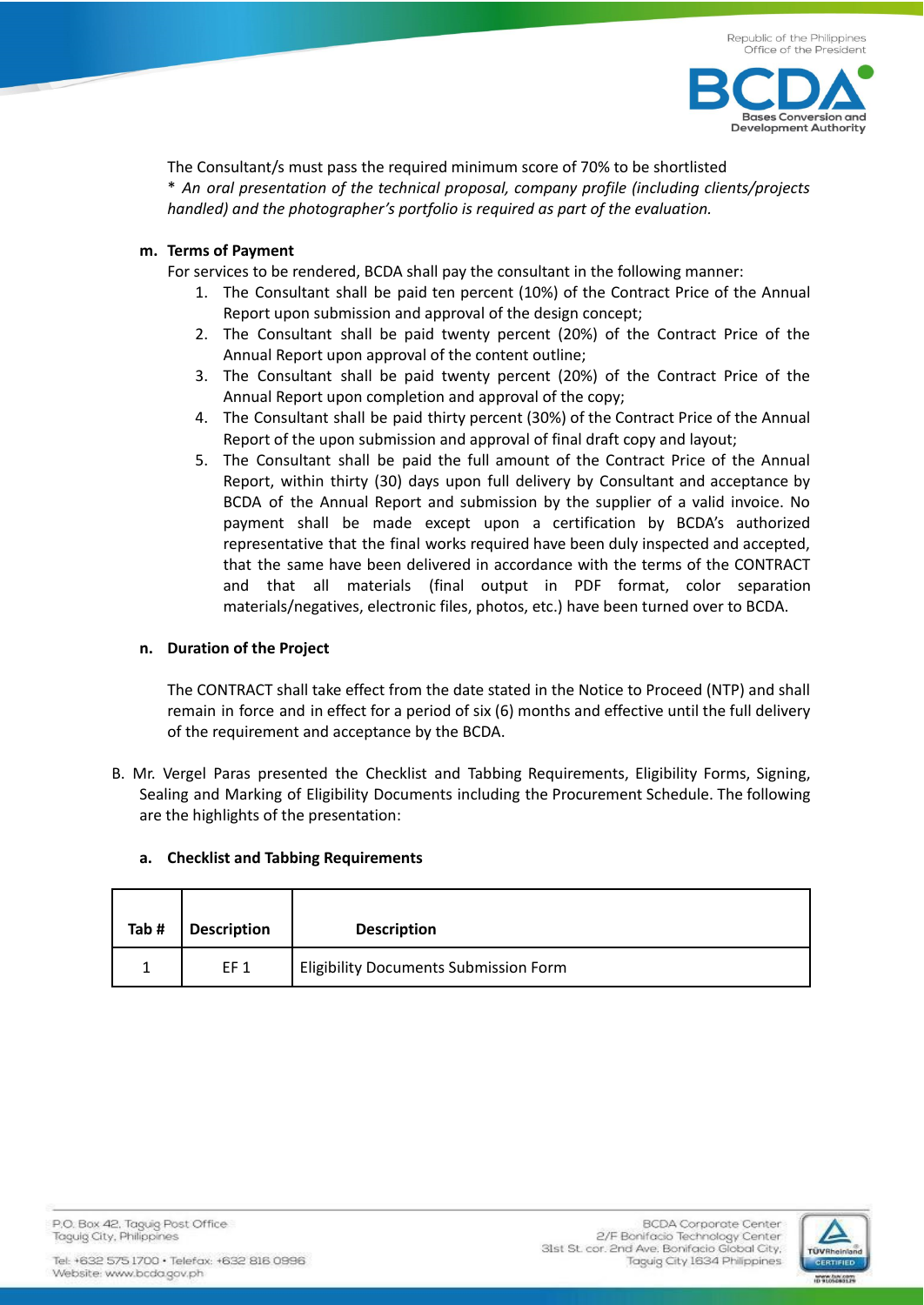

The Consultant/s must pass the required minimum score of 70% to be shortlisted \* *An oral presentation of the technical proposal, company profile (including clients/projects handled) and the photographer's portfolio is required as part of the evaluation.*

## **m. Terms of Payment**

For services to be rendered, BCDA shall pay the consultant in the following manner:

- 1. The Consultant shall be paid ten percent (10%) of the Contract Price of the Annual Report upon submission and approval of the design concept;
- 2. The Consultant shall be paid twenty percent (20%) of the Contract Price of the Annual Report upon approval of the content outline;
- 3. The Consultant shall be paid twenty percent (20%) of the Contract Price of the Annual Report upon completion and approval of the copy;
- 4. The Consultant shall be paid thirty percent (30%) of the Contract Price of the Annual Report of the upon submission and approval of final draft copy and layout;
- 5. The Consultant shall be paid the full amount of the Contract Price of the Annual Report, within thirty (30) days upon full delivery by Consultant and acceptance by BCDA of the Annual Report and submission by the supplier of a valid invoice. No payment shall be made except upon a certification by BCDA's authorized representative that the final works required have been duly inspected and accepted, that the same have been delivered in accordance with the terms of the CONTRACT and that all materials (final output in PDF format, color separation materials/negatives, electronic files, photos, etc.) have been turned over to BCDA.

# **n. Duration of the Project**

The CONTRACT shall take effect from the date stated in the Notice to Proceed (NTP) and shall remain in force and in effect for a period of six (6) months and effective until the full delivery of the requirement and acceptance by the BCDA.

B. Mr. Vergel Paras presented the Checklist and Tabbing Requirements, Eligibility Forms, Signing, Sealing and Marking of Eligibility Documents including the Procurement Schedule. The following are the highlights of the presentation:

| Tab# | <b>Description</b> | <b>Description</b>                           |
|------|--------------------|----------------------------------------------|
|      | EF <sub>1</sub>    | <b>Eligibility Documents Submission Form</b> |

## **a. Checklist and Tabbing Requirements**

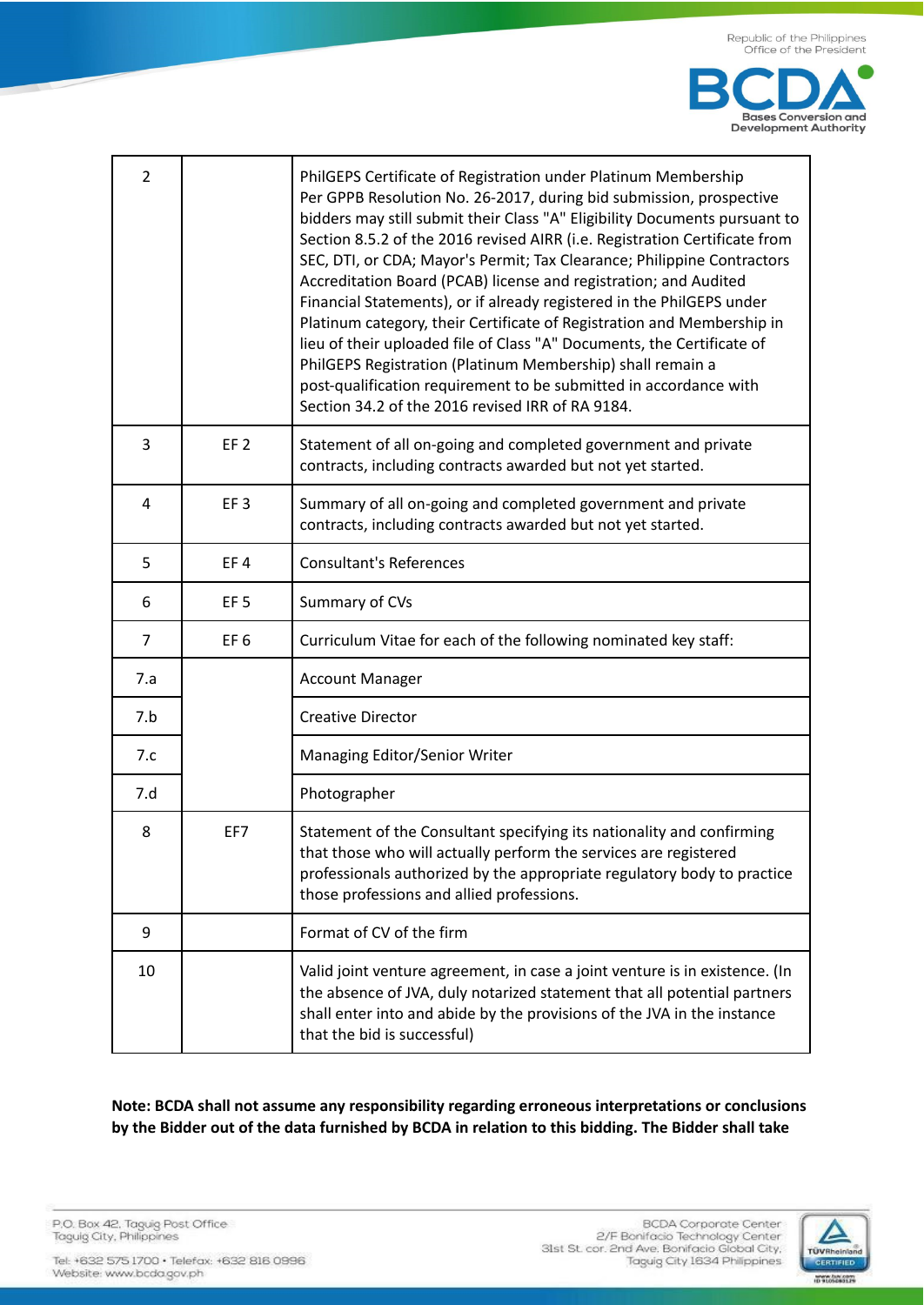

| $\overline{2}$ |                 | PhilGEPS Certificate of Registration under Platinum Membership<br>Per GPPB Resolution No. 26-2017, during bid submission, prospective<br>bidders may still submit their Class "A" Eligibility Documents pursuant to<br>Section 8.5.2 of the 2016 revised AIRR (i.e. Registration Certificate from<br>SEC, DTI, or CDA; Mayor's Permit; Tax Clearance; Philippine Contractors<br>Accreditation Board (PCAB) license and registration; and Audited<br>Financial Statements), or if already registered in the PhilGEPS under<br>Platinum category, their Certificate of Registration and Membership in<br>lieu of their uploaded file of Class "A" Documents, the Certificate of<br>PhilGEPS Registration (Platinum Membership) shall remain a<br>post-qualification requirement to be submitted in accordance with<br>Section 34.2 of the 2016 revised IRR of RA 9184. |  |
|----------------|-----------------|----------------------------------------------------------------------------------------------------------------------------------------------------------------------------------------------------------------------------------------------------------------------------------------------------------------------------------------------------------------------------------------------------------------------------------------------------------------------------------------------------------------------------------------------------------------------------------------------------------------------------------------------------------------------------------------------------------------------------------------------------------------------------------------------------------------------------------------------------------------------|--|
| 3              | EF <sub>2</sub> | Statement of all on-going and completed government and private<br>contracts, including contracts awarded but not yet started.                                                                                                                                                                                                                                                                                                                                                                                                                                                                                                                                                                                                                                                                                                                                        |  |
| 4              | EF <sub>3</sub> | Summary of all on-going and completed government and private<br>contracts, including contracts awarded but not yet started.                                                                                                                                                                                                                                                                                                                                                                                                                                                                                                                                                                                                                                                                                                                                          |  |
| 5              | EF4             | <b>Consultant's References</b>                                                                                                                                                                                                                                                                                                                                                                                                                                                                                                                                                                                                                                                                                                                                                                                                                                       |  |
| 6              | EF <sub>5</sub> | Summary of CVs                                                                                                                                                                                                                                                                                                                                                                                                                                                                                                                                                                                                                                                                                                                                                                                                                                                       |  |
| 7              | EF <sub>6</sub> | Curriculum Vitae for each of the following nominated key staff:                                                                                                                                                                                                                                                                                                                                                                                                                                                                                                                                                                                                                                                                                                                                                                                                      |  |
| 7.a            |                 | <b>Account Manager</b>                                                                                                                                                                                                                                                                                                                                                                                                                                                                                                                                                                                                                                                                                                                                                                                                                                               |  |
| 7.b            |                 | <b>Creative Director</b>                                                                                                                                                                                                                                                                                                                                                                                                                                                                                                                                                                                                                                                                                                                                                                                                                                             |  |
| 7.c            |                 | Managing Editor/Senior Writer                                                                                                                                                                                                                                                                                                                                                                                                                                                                                                                                                                                                                                                                                                                                                                                                                                        |  |
| 7.d            |                 | Photographer                                                                                                                                                                                                                                                                                                                                                                                                                                                                                                                                                                                                                                                                                                                                                                                                                                                         |  |
| 8              | EF7             | Statement of the Consultant specifying its nationality and confirming<br>that those who will actually perform the services are registered<br>professionals authorized by the appropriate regulatory body to practice<br>those professions and allied professions.                                                                                                                                                                                                                                                                                                                                                                                                                                                                                                                                                                                                    |  |
| 9              |                 | Format of CV of the firm                                                                                                                                                                                                                                                                                                                                                                                                                                                                                                                                                                                                                                                                                                                                                                                                                                             |  |
| 10             |                 | Valid joint venture agreement, in case a joint venture is in existence. (In<br>the absence of JVA, duly notarized statement that all potential partners<br>shall enter into and abide by the provisions of the JVA in the instance<br>that the bid is successful)                                                                                                                                                                                                                                                                                                                                                                                                                                                                                                                                                                                                    |  |

Note: BCDA shall not assume any responsibility regarding erroneous interpretations or conclusions by the Bidder out of the data furnished by BCDA in relation to this bidding. The Bidder shall take

P.O. Box 42, Taguig Post Office<br>Taguig City, Philippines

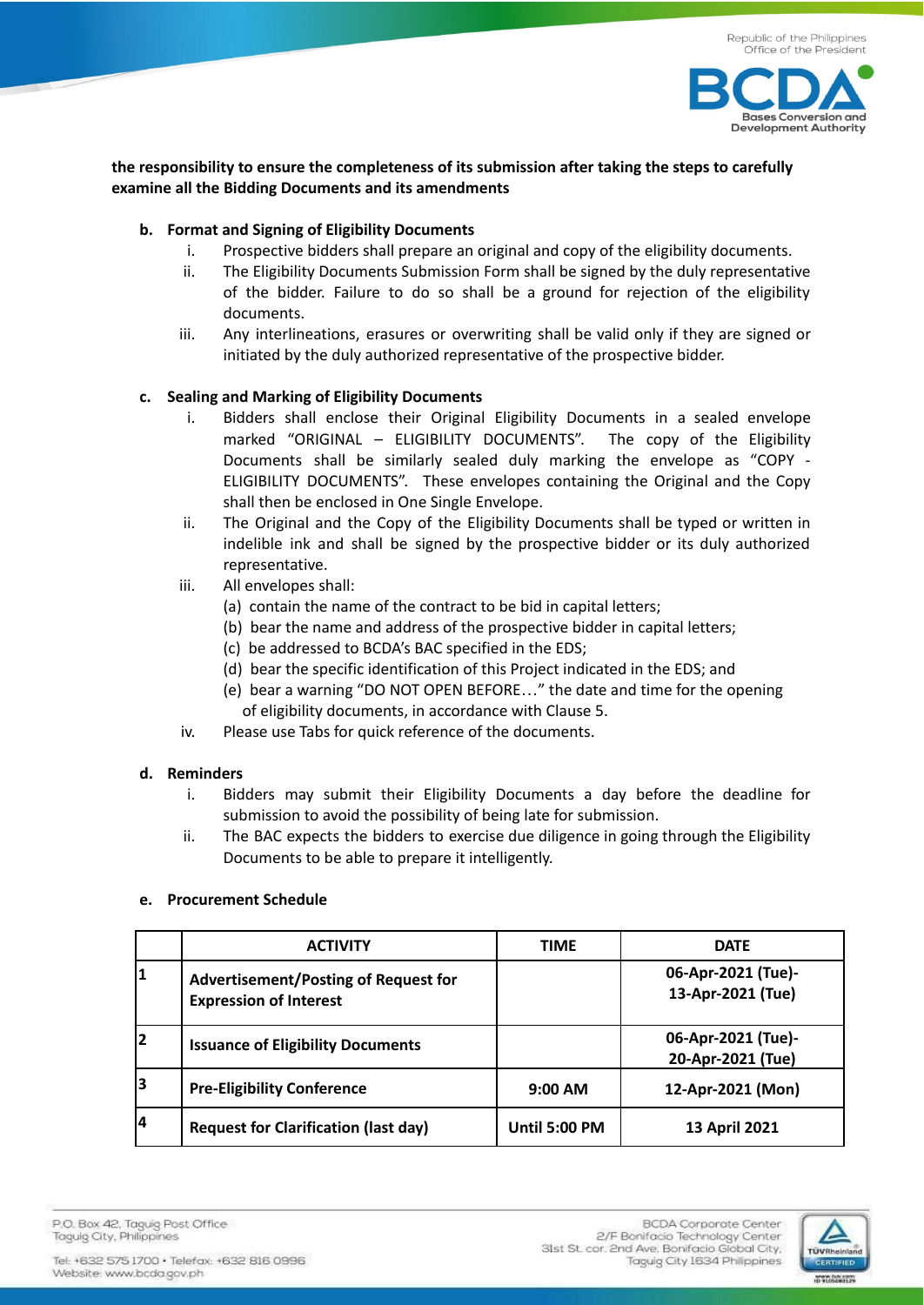

## **the responsibility to ensure the completeness of its submission after taking the steps to carefully examine all the Bidding Documents and its amendments**

## **b. Format and Signing of Eligibility Documents**

- i. Prospective bidders shall prepare an original and copy of the eligibility documents.
- ii. The Eligibility Documents Submission Form shall be signed by the duly representative of the bidder. Failure to do so shall be a ground for rejection of the eligibility documents.
- iii. Any interlineations, erasures or overwriting shall be valid only if they are signed or initiated by the duly authorized representative of the prospective bidder.

## **c. Sealing and Marking of Eligibility Documents**

- i. Bidders shall enclose their Original Eligibility Documents in a sealed envelope marked "ORIGINAL – ELIGIBILITY DOCUMENTS". The copy of the Eligibility Documents shall be similarly sealed duly marking the envelope as "COPY - ELIGIBILITY DOCUMENTS". These envelopes containing the Original and the Copy shall then be enclosed in One Single Envelope.
- ii. The Original and the Copy of the Eligibility Documents shall be typed or written in indelible ink and shall be signed by the prospective bidder or its duly authorized representative.
- iii. All envelopes shall:
	- (a) contain the name of the contract to be bid in capital letters;
	- (b) bear the name and address of the prospective bidder in capital letters;
	- (c) be addressed to BCDA's BAC specified in the EDS;
	- (d) bear the specific identification of this Project indicated in the EDS; and
	- (e) bear a warning "DO NOT OPEN BEFORE…" the date and time for the opening of eligibility documents, in accordance with Clause 5.
- iv. Please use Tabs for quick reference of the documents.

## **d. Reminders**

- i. Bidders may submit their Eligibility Documents a day before the deadline for submission to avoid the possibility of being late for submission.
- ii. The BAC expects the bidders to exercise due diligence in going through the Eligibility Documents to be able to prepare it intelligently.

## **e. Procurement Schedule**

|    | <b>ACTIVITY</b>                                                              | <b>TIME</b>   | <b>DATE</b>                             |
|----|------------------------------------------------------------------------------|---------------|-----------------------------------------|
| 11 | <b>Advertisement/Posting of Request for</b><br><b>Expression of Interest</b> |               | 06-Apr-2021 (Tue)-<br>13-Apr-2021 (Tue) |
| 2  | <b>Issuance of Eligibility Documents</b>                                     |               | 06-Apr-2021 (Tue)-<br>20-Apr-2021 (Tue) |
| 3  | <b>Pre-Eligibility Conference</b>                                            | $9:00$ AM     | 12-Apr-2021 (Mon)                       |
| 14 | <b>Request for Clarification (last day)</b>                                  | Until 5:00 PM | 13 April 2021                           |

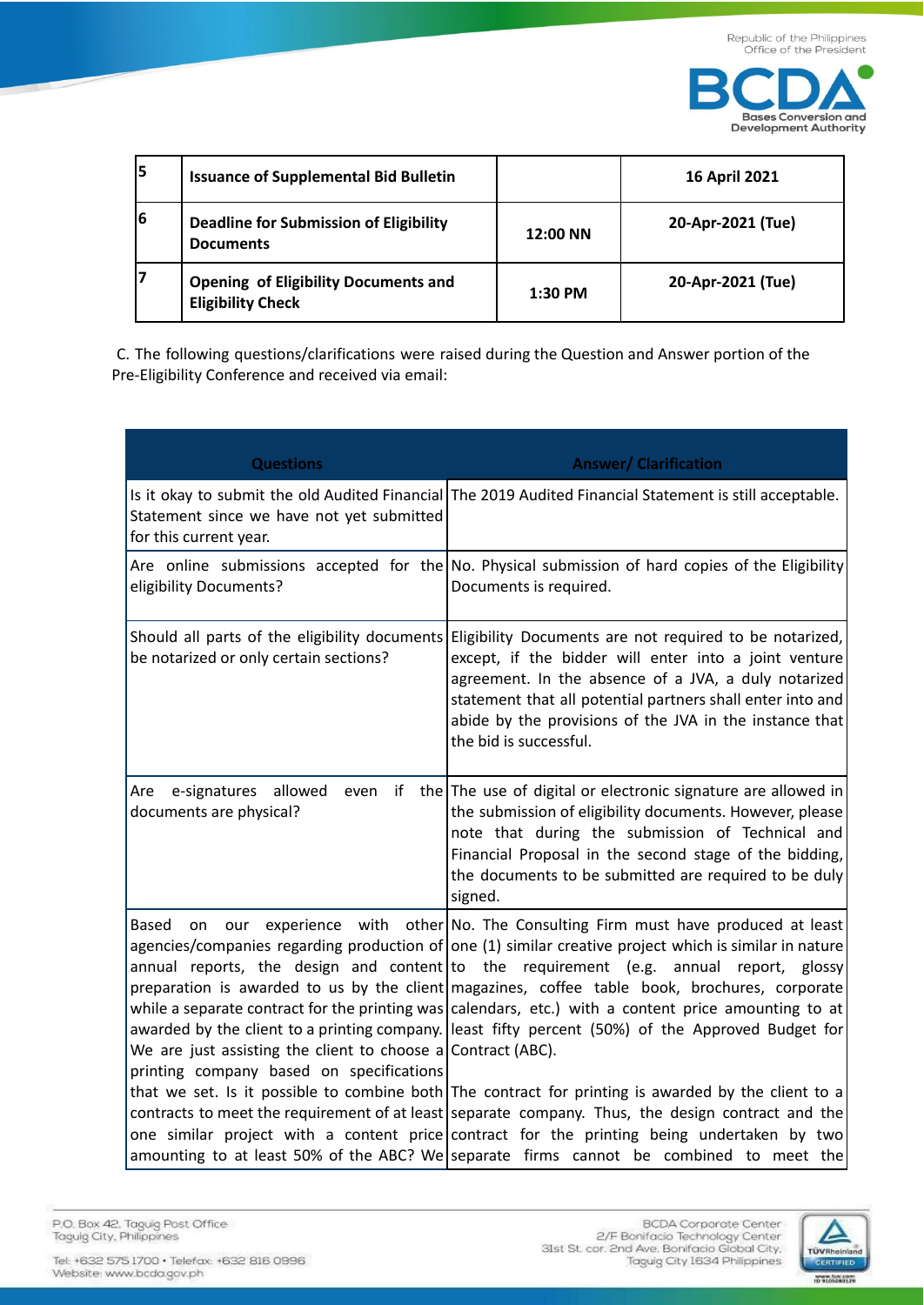

| 15 | <b>Issuance of Supplemental Bid Bulletin</b>                            |           | <b>16 April 2021</b> |
|----|-------------------------------------------------------------------------|-----------|----------------------|
| 6  | <b>Deadline for Submission of Eligibility</b><br><b>Documents</b>       | 12:00 NN  | 20-Apr-2021 (Tue)    |
| 17 | <b>Opening of Eligibility Documents and</b><br><b>Eligibility Check</b> | $1:30$ PM | 20-Apr-2021 (Tue)    |

C. The following questions/clarifications were raised during the Question and Answer portion of the Pre-Eligibility Conference and received via email:

| <b>Questions</b>                                                                                                                      | <b>Answer/ Clarification</b>                                                                                                                                                                                                                                                                                                                                                                                                                                                                                                                                                                                                                                                                                                                                                                                                                                                                                                                                                                     |
|---------------------------------------------------------------------------------------------------------------------------------------|--------------------------------------------------------------------------------------------------------------------------------------------------------------------------------------------------------------------------------------------------------------------------------------------------------------------------------------------------------------------------------------------------------------------------------------------------------------------------------------------------------------------------------------------------------------------------------------------------------------------------------------------------------------------------------------------------------------------------------------------------------------------------------------------------------------------------------------------------------------------------------------------------------------------------------------------------------------------------------------------------|
| Statement since we have not yet submitted<br>for this current year.                                                                   | Is it okay to submit the old Audited Financial The 2019 Audited Financial Statement is still acceptable.                                                                                                                                                                                                                                                                                                                                                                                                                                                                                                                                                                                                                                                                                                                                                                                                                                                                                         |
| eligibility Documents?                                                                                                                | Are online submissions accepted for the No. Physical submission of hard copies of the Eligibility<br>Documents is required.                                                                                                                                                                                                                                                                                                                                                                                                                                                                                                                                                                                                                                                                                                                                                                                                                                                                      |
| Should all parts of the eligibility documents<br>be notarized or only certain sections?                                               | Eligibility Documents are not required to be notarized,<br>except, if the bidder will enter into a joint venture<br>agreement. In the absence of a JVA, a duly notarized<br>statement that all potential partners shall enter into and<br>abide by the provisions of the JVA in the instance that<br>the bid is successful.                                                                                                                                                                                                                                                                                                                                                                                                                                                                                                                                                                                                                                                                      |
| e-signatures allowed<br>even<br>if<br>Are<br>documents are physical?                                                                  | the The use of digital or electronic signature are allowed in<br>the submission of eligibility documents. However, please<br>note that during the submission of Technical and<br>Financial Proposal in the second stage of the bidding,<br>the documents to be submitted are required to be duly<br>signed.                                                                                                                                                                                                                                                                                                                                                                                                                                                                                                                                                                                                                                                                                      |
| <b>Based</b><br>on<br>our<br>We are just assisting the client to choose a Contract (ABC).<br>printing company based on specifications | experience with other No. The Consulting Firm must have produced at least<br>agencies/companies regarding production of one $(1)$ similar creative project which is similar in nature<br>annual reports, the design and content to the requirement (e.g. annual report, glossy<br>preparation is awarded to us by the client magazines, coffee table book, brochures, corporate<br>while a separate contract for the printing was calendars, etc.) with a content price amounting to at<br>awarded by the client to a printing company. least fifty percent (50%) of the Approved Budget for<br>that we set. Is it possible to combine both The contract for printing is awarded by the client to a<br>contracts to meet the requirement of at least separate company. Thus, the design contract and the<br>one similar project with a content price contract for the printing being undertaken by two<br>amounting to at least 50% of the ABC? We separate firms cannot be combined to meet the |